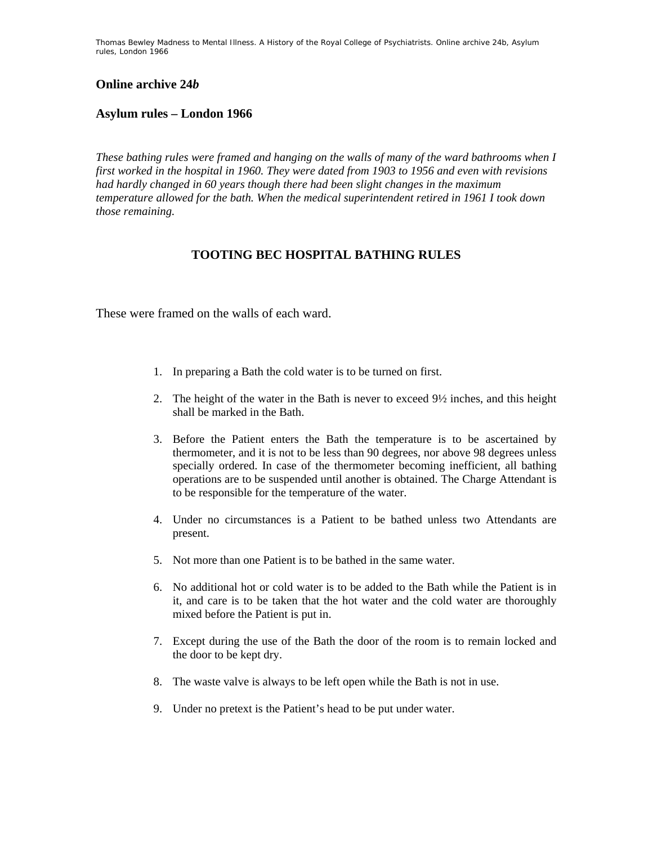Thomas Bewley *Madness to Mental Illness. A History of the Royal College of Psychiatrists*. Online archive 24*b*, *Asylum rules, London 1966*

## **Online archive 24***b*

## **Asylum rules – London 1966**

*These bathing rules were framed and hanging on the walls of many of the ward bathrooms when I first worked in the hospital in 1960. They were dated from 1903 to 1956 and even with revisions had hardly changed in 60 years though there had been slight changes in the maximum temperature allowed for the bath. When the medical superintendent retired in 1961 I took down those remaining.* 

## **TOOTING BEC HOSPITAL BATHING RULES**

These were framed on the walls of each ward.

- 1. In preparing a Bath the cold water is to be turned on first.
- 2. The height of the water in the Bath is never to exceed 9½ inches, and this height shall be marked in the Bath.
- 3. Before the Patient enters the Bath the temperature is to be ascertained by thermometer, and it is not to be less than 90 degrees, nor above 98 degrees unless specially ordered. In case of the thermometer becoming inefficient, all bathing operations are to be suspended until another is obtained. The Charge Attendant is to be responsible for the temperature of the water.
- 4. Under no circumstances is a Patient to be bathed unless two Attendants are present.
- 5. Not more than one Patient is to be bathed in the same water.
- 6. No additional hot or cold water is to be added to the Bath while the Patient is in it, and care is to be taken that the hot water and the cold water are thoroughly mixed before the Patient is put in.
- 7. Except during the use of the Bath the door of the room is to remain locked and the door to be kept dry.
- 8. The waste valve is always to be left open while the Bath is not in use.
- 9. Under no pretext is the Patient's head to be put under water.